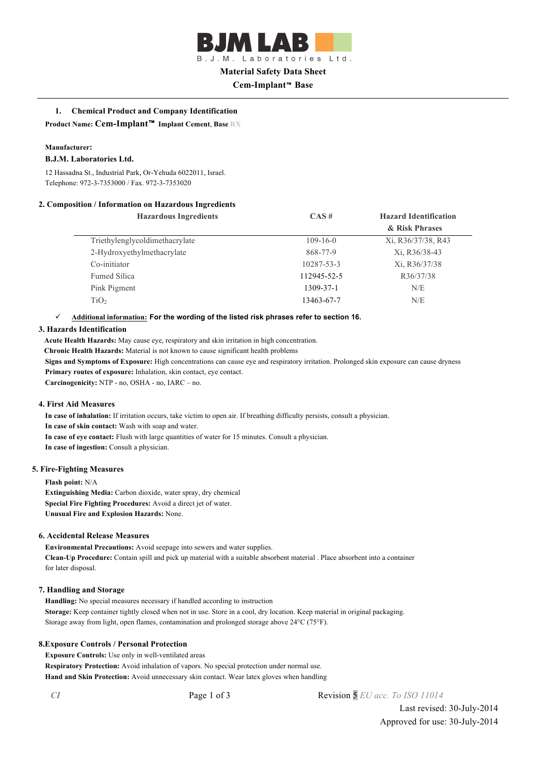B.J.M. Laboratories Ltd. **Material Safety Data Sheet**

# **Cem-Implant**™ **Base**

# **1. Chemical Product and Company Identification**

**Product Name: Cem-Implant**™ **Implant Cement**, **Base RX**

## **Manufacturer:**

## **B.J.M. Laboratories Ltd.**

12 Hassadna St., Industrial Park, Or-Yehuda 6022011, Israel. Telephone: 972-3-7353000 / Fax. 972-3-7353020

# **2. Composition / Information on Hazardous Ingredients**

| <b>Hazardous Ingredients</b>   | CAS#           | <b>Hazard Identification</b> |
|--------------------------------|----------------|------------------------------|
|                                |                | & Risk Phrases               |
| Triethylenglycoldimethacrylate | $109 - 16 - 0$ | Xi, R36/37/38, R43           |
| 2-Hydroxyethylmethacrylate     | 868-77-9       | Xi, R36/38-43                |
| Co-initiator                   | 10287-53-3     | Xi, R36/37/38                |
| <b>Fumed Silica</b>            | 112945-52-5    | R36/37/38                    |
| Pink Pigment                   | 1309-37-1      | N/E                          |
| TiO <sub>2</sub>               | 13463-67-7     | N/E                          |

# ü **Additional information: For the wording of the listed risk phrases refer to section 16.**

## **3. Hazards Identification**

**Acute Health Hazards:** May cause eye, respiratory and skin irritation in high concentration.

**Chronic Health Hazards:** Material is not known to cause significant health problems

**Signs and Symptoms of Exposure:** High concentrations can cause eye and respiratory irritation. Prolonged skin exposure can cause dryness **Primary routes of exposure:** Inhalation, skin contact, eye contact.

**Carcinogenicity:** NTP - no, OSHA - no, IARC – no.

## **4. First Aid Measures**

**In case of inhalation:** If irritation occurs, take victim to open air. If breathing difficulty persists, consult a physician.

**In case of skin contact:** Wash with soap and water.

**In case of eye contact:** Flush with large quantities of water for 15 minutes. Consult a physician.

**In case of ingestion:** Consult a physician.

## **5. Fire-Fighting Measures**

**Flash point:** N/A **Extinguishing Media:** Carbon dioxide, water spray, dry chemical **Special Fire Fighting Procedures:** Avoid a direct jet of water. **Unusual Fire and Explosion Hazards:** None.

## **6. Accidental Release Measures**

**Environmental Precautions:** Avoid seepage into sewers and water supplies. **Clean-Up Procedure:** Contain spill and pick up material with a suitable absorbent material . Place absorbent into a container for later disposal.

# **7. Handling and Storage**

**Handling:** No special measures necessary if handled according to instruction **Storage:** Keep container tightly closed when not in use. Store in a cool, dry location. Keep material in original packaging. Storage away from light, open flames, contamination and prolonged storage above 24°C (75°F).

## **8.Exposure Controls / Personal Protection**

**Exposure Controls:** Use only in well-ventilated areas **Respiratory Protection:** Avoid inhalation of vapors. No special protection under normal use. **Hand and Skin Protection:** Avoid unnecessary skin contact. Wear latex gloves when handling

*CI* Page 1 of 3 Revision 5 *EU acc. To ISO 11014*

Last revised: 30-July-2014 Approved for use: 30-July-2014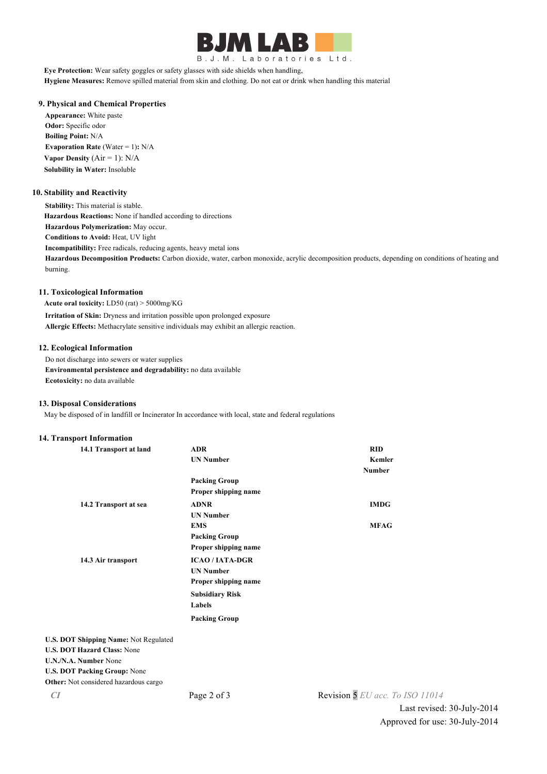

B.J.M. Laboratories Ltd.

**Eye Protection:** Wear safety goggles or safety glasses with side shields when handling, **Hygiene Measures:** Remove spilled material from skin and clothing. Do not eat or drink when handling this material

# **9. Physical and Chemical Properties**

**Appearance:** White paste **Odor:** Specific odor **Boiling Point:** N/A **Evaporation Rate (Water = 1): N/A Vapor Density** (Air = 1): N/A **Solubility in Water:** Insoluble

## **10. Stability and Reactivity**

**Stability:** This material is stable. **Hazardous Reactions:** None if handled according to directions **Hazardous Polymerization:** May occur. **Conditions to Avoid:** Heat, UV light **Incompatibility:** Free radicals, reducing agents, heavy metal ions **Hazardous Decomposition Products:** Carbon dioxide, water, carbon monoxide, acrylic decomposition products, depending on conditions of heating and burning.

## **11. Toxicological Information**

**Acute oral toxicity:** LD50 (rat) > 5000mg/KG **Irritation of Skin:** Dryness and irritation possible upon prolonged exposure **Allergic Effects:** Methacrylate sensitive individuals may exhibit an allergic reaction.

## **12. Ecological Information**

Do not discharge into sewers or water supplies **Environmental persistence and degradability:** no data available **Ecotoxicity:** no data available

## **13. Disposal Considerations**

May be disposed of in landfill or Incinerator In accordance with local, state and federal regulations

## **14. Transport Information**

| 14.1 Transport at land                | <b>ADR</b>             | <b>RID</b>    |
|---------------------------------------|------------------------|---------------|
|                                       | <b>UN Number</b>       | <b>Kemler</b> |
|                                       |                        | <b>Number</b> |
|                                       | <b>Packing Group</b>   |               |
|                                       | Proper shipping name   |               |
| 14.2 Transport at sea                 | <b>ADNR</b>            | <b>IMDG</b>   |
|                                       | <b>UN Number</b>       |               |
|                                       | <b>EMS</b>             | <b>MFAG</b>   |
|                                       | <b>Packing Group</b>   |               |
|                                       | Proper shipping name   |               |
| 14.3 Air transport                    | <b>ICAO/IATA-DGR</b>   |               |
|                                       | <b>UN Number</b>       |               |
|                                       | Proper shipping name   |               |
|                                       | <b>Subsidiary Risk</b> |               |
|                                       | Labels                 |               |
|                                       | <b>Packing Group</b>   |               |
| U.S. DOT Shipping Name: Not Regulated |                        |               |
| <b>U.S. DOT Hazard Class: None</b>    |                        |               |
| U.N./N.A. Number None                 |                        |               |
| <b>U.S. DOT Packing Group: None</b>   |                        |               |

**Other:** Not considered hazardous cargo

*CI* Page 2 of 3 Revision 5 *EU acc. To ISO 11014*

Last revised: 30-July-2014 Approved for use: 30-July-2014